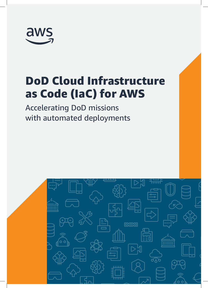

# DoD Cloud Infrastructure as Code (IaC) for AWS

Accelerating DoD missions with automated deployments

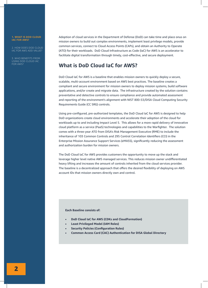#### **1. WHAT IS DOD CLOUD IAC FOR AWS?**

2. HOW DOES DOD CLOUD IAC FOR AWS ADD VALUE?

3. WHO BENEFITS FROM USING DOD CLOUD IAC FOR AWS?

Adoption of cloud services in the Department of Defense (DoD) can take time and place onus on mission owners to build out complex environments, implement least privilege models, provide common services, connect to Cloud Access Points (CAPs), and obtain an Authority to Operate (ATO) for their workloads. DoD Cloud Infrastructure as Code (IaC) for AWS is an accelerator to facilitate digital transformation through timely, cost-effective, and secure deployment.

# **What is DoD Cloud IaC for AWS?**

DoD Cloud IaC for AWS is a baseline that enables mission owners to quickly deploy a secure, scalable, multi-account environment based on AWS best practices. The baseline creates a compliant and secure environment for mission owners to deploy mission systems, build software applications, and/or create and migrate data. The infrastructure created by the solution contains preventative and detective controls to ensure compliance and provide automated assessment and reporting of the environment's alignment with NIST 800-53/DISA Cloud Computing Security Requirements Guide (CC SRG) controls.

Using pre-configured, pre-authorized templates, the DoD Cloud IaC for AWS is designed to help DoD organizations create cloud environments and accelerate their adoption of the cloud for workloads up to and including Impact Level 5. This allows for a more rapid delivery of innovative cloud platform as a service (PaaS) technologies and capabilities to the Warfighter. The solution comes with a three-year ATO from DISA's Risk Management Executive (RME) to include the inheritance of 103 Common Controls and 295 Control Correlation Identifiers (CCI) in the Enterprise Mission Assurance Support Services (eMASS), significantly reducing the assessment and authorization burden for mission owners.

The DoD Cloud IaC for AWS provides customers the opportunity to move up the stack and leverage higher level native AWS managed services. This reduces mission owner undifferentiated heavy lifting and increases the amount of controls inherited from the cloud services provider. The baseline is a decentralized approach that offers the desired flexibility of deploying on AWS account IDs that mission owners directly own and control.

#### **Each Baseline consists of:**

- **• DoD Cloud IaC for AWS (CDKs and CloudFormation)**
- **• Least Privileged Model (IAM Roles)**
- **• Security Policies (Configuration Rules)**
- **• Common Access Card (CAC) Authentication for DISA Global Directory**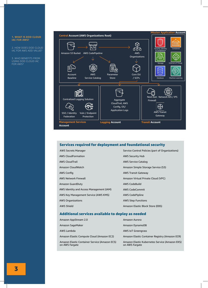#### **1. WHAT IS DOD CLOUD IAC FOR AWS?**

2. HOW DOES DOD CLOUD IAC FOR AWS ADD VALUE?

3. WHO BENEFITS FROM USING DOD CLOUD IAC FOR AWS?



## Services required for deployment and foundational security

| <b>AWS Secrets Manager</b>               | Service Control Policies (part of Organizations) |
|------------------------------------------|--------------------------------------------------|
| <b>AWS CloudFormation</b>                | <b>AWS Security Hub</b>                          |
| <b>AWS CloudTrail</b>                    | AWS Service Catalog                              |
| Amazon CloudWatch                        | Amazon Simple Storage Service (S3)               |
| AWS Config                               | <b>AWS Transit Gateway</b>                       |
| <b>AWS Network Firewall</b>              | Amazon Virtual Private Cloud (VPC)               |
| Amazon GuardDuty                         | <b>AWS CodeBuild</b>                             |
| AWS Identity and Access Management (IAM) | <b>AWS CodeCommit</b>                            |
| AWS Key Management Service (AWS KMS)     | <b>AWS CodePipline</b>                           |
| <b>AWS Organizations</b>                 | <b>AWS Step Functions</b>                        |
| AWS Shield                               | Amazon Elastic Block Store (EBS)                 |
|                                          |                                                  |

### Additional services available to deploy as needed

| Amazon AppStream 2.0                                            | Amazon Aurora                                                    |
|-----------------------------------------------------------------|------------------------------------------------------------------|
| Amazon SageMaker                                                | Amazon DynamoDB                                                  |
| AWS Lambda                                                      | <b>AWS IoT Greengrass</b>                                        |
| Amazon Elastic Compute Cloud (Amazon EC2)                       | Amazon Elastic Container Registry (Amazon ECR)                   |
| Amazon Elastic Container Service (Amazon ECS)<br>on AWS Fargate | Amazon Elastic Kubernetes Service (Amazon EKS)<br>on AWS Fargate |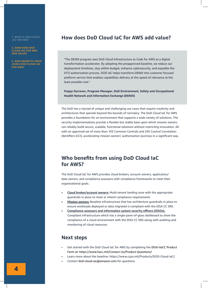1. WHAT IS DOD CLOUD IAC FOR AWS?

**2. HOW DOES DOD CLOUD IAC FOR AWS ADD VALUE?**

**3. WHO BENEFITS FROM USING DOD CLOUD IAC FOR AWS?**

## **How does DoD Cloud IaC for AWS add value?**

"The DENIX program sees DoD Cloud Infrastructure as Code for AWS as a digital transformation accelerator. By adopting the preapproved baseline, we reduce our deployment timelines, stay within budget, enhance cybersecurity, and expedite the ATO authorization process. DOD IaC helps transform DENIX into customer focused platform service that enables capabilities delivery at the speed of relevance at the least possible cost."

**Poppy Harrover, Program Manager, DoD Environment, Safety and Occupational Health Network and Information Exchange (DENIX)** 

The DoD has a myriad of unique and challenging use cases that require creativity and architectures that operate beyond the bounds of normalcy. The DoD Cloud IaC for AWS provides a foundation for an environment that supports a wide variety of solutions. The security implementations provide a flexible but stable base upon which mission owners can reliably build secure, scalable, functional solutions without restricting innovation. All with an approved set of more than 103 Common Controls and 295 Control Correlation Identifiers (CCI), accelerating mission owners' authorization journeys in a significant way.

# **Who benefits from using DoD Cloud IaC for AWS?**

The DoD Cloud IaC for AWS provides cloud brokers, account owners, application/ data owners, and compliance assessors with compliance frameworks to meet their organizational goals.

- **• Cloud broker/account owners:** Multi-tenant landing zone with the appropriate guardrails in place to meet or inherit compliance requirements
- **• Mission owners:** Baseline infrastructure that has architecture guardrails in place to ensure workloads deployed or data migrated is compliant with the DISA CC SRG
- **• Compliance assessors and information system security officers (ISSOs):** Compliant infrastructure which has a single-pane-of-glass dashboard to show the compliance of a cloud environment with the DISA CC SRG along with auditing and monitoring of cloud resources

## **Next steps**

- Get started with the DoD Cloud IaC for AWS by completing the DISA HaCC Product Form at: https://www.hacc.mil/Contact-Us/Product-Questions/
- Learn more about the baseline: https://www.ccpo.mil/Products/DOD-Cloud-IaC/
- Contact dod-cloud-iac@amazon.com for questions